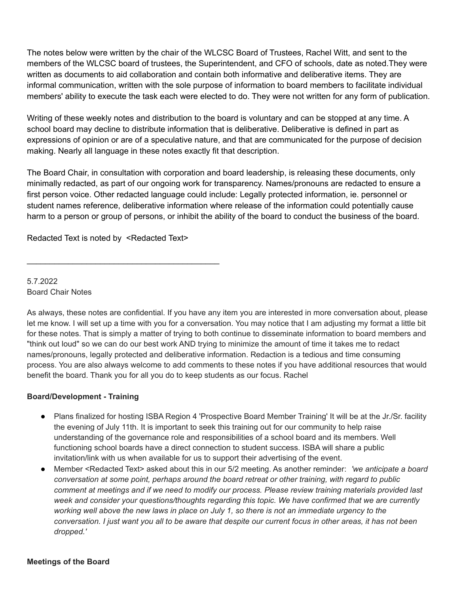The notes below were written by the chair of the WLCSC Board of Trustees, Rachel Witt, and sent to the members of the WLCSC board of trustees, the Superintendent, and CFO of schools, date as noted.They were written as documents to aid collaboration and contain both informative and deliberative items. They are informal communication, written with the sole purpose of information to board members to facilitate individual members' ability to execute the task each were elected to do. They were not written for any form of publication.

Writing of these weekly notes and distribution to the board is voluntary and can be stopped at any time. A school board may decline to distribute information that is deliberative. Deliberative is defined in part as expressions of opinion or are of a speculative nature, and that are communicated for the purpose of decision making. Nearly all language in these notes exactly fit that description.

The Board Chair, in consultation with corporation and board leadership, is releasing these documents, only minimally redacted, as part of our ongoing work for transparency. Names/pronouns are redacted to ensure a first person voice. Other redacted language could include: Legally protected information, ie. personnel or student names reference, deliberative information where release of the information could potentially cause harm to a person or group of persons, or inhibit the ability of the board to conduct the business of the board.

Redacted Text is noted by <Redacted Text>

\_\_\_\_\_\_\_\_\_\_\_\_\_\_\_\_\_\_\_\_\_\_\_\_\_\_\_\_\_\_\_\_\_\_\_\_\_\_\_\_\_\_

5.7.2022 Board Chair Notes

As always, these notes are confidential. If you have any item you are interested in more conversation about, please let me know. I will set up a time with you for a conversation. You may notice that I am adjusting my format a little bit for these notes. That is simply a matter of trying to both continue to disseminate information to board members and "think out loud" so we can do our best work AND trying to minimize the amount of time it takes me to redact names/pronouns, legally protected and deliberative information. Redaction is a tedious and time consuming process. You are also always welcome to add comments to these notes if you have additional resources that would benefit the board. Thank you for all you do to keep students as our focus. Rachel

# **Board/Development - Training**

- Plans finalized for hosting ISBA Region 4 'Prospective Board Member Training' It will be at the Jr./Sr. facility the evening of July 11th. It is important to seek this training out for our community to help raise understanding of the governance role and responsibilities of a school board and its members. Well functioning school boards have a direct connection to student success. ISBA will share a public invitation/link with us when available for us to support their advertising of the event.
- Member <Redacted Text> asked about this in our 5/2 meeting. As another reminder: *'we anticipate a board conversation at some point, perhaps around the board retreat or other training, with regard to public comment at meetings and if we need to modify our process. Please review training materials provided last week and consider your questions/thoughts regarding this topic. We have confirmed that we are currently working well above the new laws in place on July 1, so there is not an immediate urgency to the conversation. I just want you all to be aware that despite our current focus in other areas, it has not been dropped.'*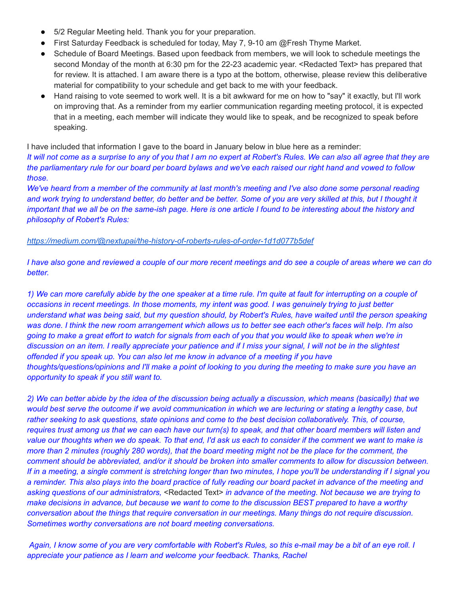- 5/2 Regular Meeting held. Thank you for your preparation.
- First Saturday Feedback is scheduled for today, May 7, 9-10 am @Fresh Thyme Market.
- Schedule of Board Meetings. Based upon feedback from members, we will look to schedule meetings the second Monday of the month at 6:30 pm for the 22-23 academic year. <Redacted Text> has prepared that for review. It is attached. I am aware there is a typo at the bottom, otherwise, please review this deliberative material for compatibility to your schedule and get back to me with your feedback.
- Hand raising to vote seemed to work well. It is a bit awkward for me on how to "say" it exactly, but I'll work on improving that. As a reminder from my earlier communication regarding meeting protocol, it is expected that in a meeting, each member will indicate they would like to speak, and be recognized to speak before speaking.

I have included that information I gave to the board in January below in blue here as a reminder:

*It will not come as a surprise to any of you that I am no expert at Robert's Rules. We can also all agree that they are the parliamentary rule for our board per board bylaws and we've each raised our right hand and vowed to follow those.*

*We've heard from a member of the community at last month's meeting and I've also done some personal reading and work trying to understand better, do better and be better. Some of you are very skilled at this, but I thought it important that we all be on the same-ish page. Here is one article I found to be interesting about the history and philosophy of Robert's Rules:*

### *<https://medium.com/@nextupai/the-history-of-roberts-rules-of-order-1d1d077b5def>*

*I have also gone and reviewed a couple of our more recent meetings and do see a couple of areas where we can do better.*

*1) We can more carefully abide by the one speaker at a time rule. I'm quite at fault for interrupting on a couple of occasions in recent meetings. In those moments, my intent was good. I was genuinely trying to just better understand what was being said, but my question should, by Robert's Rules, have waited until the person speaking was done. I think the new room arrangement which allows us to better see each other's faces will help. I'm also going to make a great effort to watch for signals from each of you that you would like to speak when we're in discussion on an item. I really appreciate your patience and if I miss your signal, I will not be in the slightest offended if you speak up. You can also let me know in advance of a meeting if you have thoughts/questions/opinions and I'll make a point of looking to you during the meeting to make sure you have an opportunity to speak if you still want to.*

*2) We can better abide by the idea of the discussion being actually a discussion, which means (basically) that we would best serve the outcome if we avoid communication in which we are lecturing or stating a lengthy case, but rather seeking to ask questions, state opinions and come to the best decision collaboratively. This, of course, requires trust among us that we can each have our turn(s) to speak, and that other board members will listen and value our thoughts when we do speak. To that end, I'd ask us each to consider if the comment we want to make is more than 2 minutes (roughly 280 words), that the board meeting might not be the place for the comment, the comment should be abbreviated, and/or it should be broken into smaller comments to allow for discussion between. If in a meeting, a single comment is stretching longer than two minutes, I hope you'll be understanding if I signal you a reminder. This also plays into the board practice of fully reading our board packet in advance of the meeting and asking questions of our administrators,* <Redacted Text> *in advance of the meeting. Not because we are trying to make decisions in advance, but because we want to come to the discussion BEST prepared to have a worthy conversation about the things that require conversation in our meetings. Many things do not require discussion. Sometimes worthy conversations are not board meeting conversations.*

*Again, I know some of you are very comfortable with Robert's Rules, so this e-mail may be a bit of an eye roll. I appreciate your patience as I learn and welcome your feedback. Thanks, Rachel*